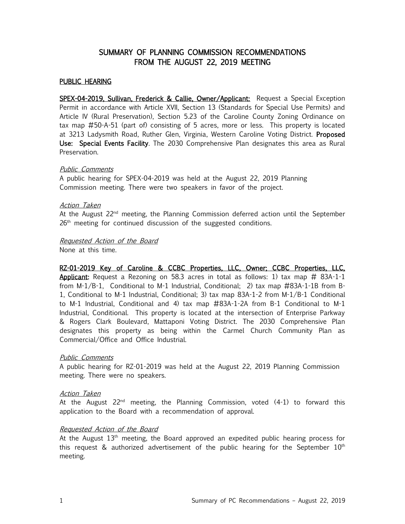# SUMMARY OF PLANNING COMMISSION RECOMMENDATIONS FROM THE AUGUST 22, 2019 MEETING

# PUBLIC HEARING

SPEX-04-2019, Sullivan, Frederick & Callie, Owner/Applicant: Request a Special Exception Permit in accordance with Article XVII, Section 13 (Standards for Special Use Permits) and Article IV (Rural Preservation), Section 5.23 of the Caroline County Zoning Ordinance on tax map #50-A-51 (part of) consisting of 5 acres, more or less. This property is located at 3213 Ladysmith Road, Ruther Glen, Virginia, Western Caroline Voting District. Proposed Use: Special Events Facility. The 2030 Comprehensive Plan designates this area as Rural Preservation.

## Public Comments

A public hearing for SPEX-04-2019 was held at the August 22, 2019 Planning Commission meeting. There were two speakers in favor of the project.

# Action Taken

At the August 22<sup>nd</sup> meeting, the Planning Commission deferred action until the September  $26<sup>th</sup>$  meeting for continued discussion of the suggested conditions.

# Requested Action of the Board

None at this time.

RZ-01-2019 Key of Caroline & CCBC Properties, LLC, Owner; CCBC Properties, LLC, **Applicant:** Request a Rezoning on 58.3 acres in total as follows: 1) tax map  $\#$  83A-1-1 from M-1/B-1, Conditional to M-1 Industrial, Conditional; 2) tax map #83A-1-1B from B-1, Conditional to M-1 Industrial, Conditional; 3) tax map 83A-1-2 from M-1/B-1 Conditional to M-1 Industrial, Conditional and 4) tax map #83A-1-2A from B-1 Conditional to M-1 Industrial, Conditional. This property is located at the intersection of Enterprise Parkway & Rogers Clark Boulevard, Mattaponi Voting District. The 2030 Comprehensive Plan designates this property as being within the Carmel Church Community Plan as Commercial/Office and Office Industrial.

## Public Comments

A public hearing for RZ-01-2019 was held at the August 22, 2019 Planning Commission meeting. There were no speakers.

## Action Taken

At the August 22<sup>nd</sup> meeting, the Planning Commission, voted  $(4-1)$  to forward this application to the Board with a recommendation of approval.

# Requested Action of the Board

At the August  $13<sup>th</sup>$  meeting, the Board approved an expedited public hearing process for this request & authorized advertisement of the public hearing for the September  $10<sup>th</sup>$ meeting.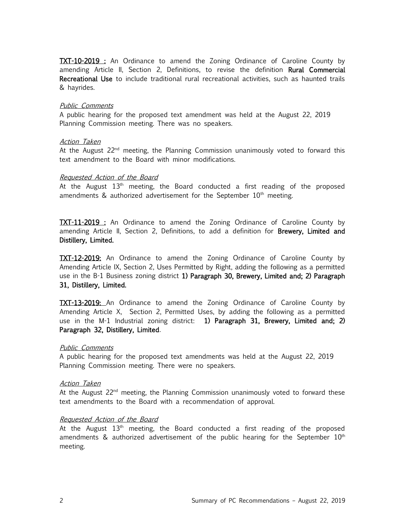**TXT-10-2019**: An Ordinance to amend the Zoning Ordinance of Caroline County by amending Article II, Section 2, Definitions, to revise the definition Rural Commercial Recreational Use to include traditional rural recreational activities, such as haunted trails & hayrides.

### Public Comments

A public hearing for the proposed text amendment was held at the August 22, 2019 Planning Commission meeting. There was no speakers.

## Action Taken

At the August  $22<sup>nd</sup>$  meeting, the Planning Commission unanimously voted to forward this text amendment to the Board with minor modifications.

#### Requested Action of the Board

At the August  $13<sup>th</sup>$  meeting, the Board conducted a first reading of the proposed amendments  $\&$  authorized advertisement for the September  $10<sup>th</sup>$  meeting.

**TXT-11-2019**: An Ordinance to amend the Zoning Ordinance of Caroline County by amending Article II, Section 2, Definitions, to add a definition for Brewery, Limited and Distillery, Limited.

TXT-12-2019: An Ordinance to amend the Zoning Ordinance of Caroline County by Amending Article IX, Section 2, Uses Permitted by Right, adding the following as a permitted use in the B-1 Business zoning district 1) Paragraph 30, Brewery, Limited and; 2) Paragraph 31, Distillery, Limited.

TXT-13-2019: An Ordinance to amend the Zoning Ordinance of Caroline County by Amending Article X, Section 2, Permitted Uses, by adding the following as a permitted use in the M-1 Industrial zoning district: 1) Paragraph 31, Brewery, Limited and; 2) Paragraph 32, Distillery, Limited.

#### Public Comments

A public hearing for the proposed text amendments was held at the August 22, 2019 Planning Commission meeting. There were no speakers.

#### Action Taken

At the August 22<sup>nd</sup> meeting, the Planning Commission unanimously voted to forward these text amendments to the Board with a recommendation of approval.

#### Requested Action of the Board

At the August  $13<sup>th</sup>$  meeting, the Board conducted a first reading of the proposed amendments & authorized advertisement of the public hearing for the September  $10<sup>th</sup>$ meeting.